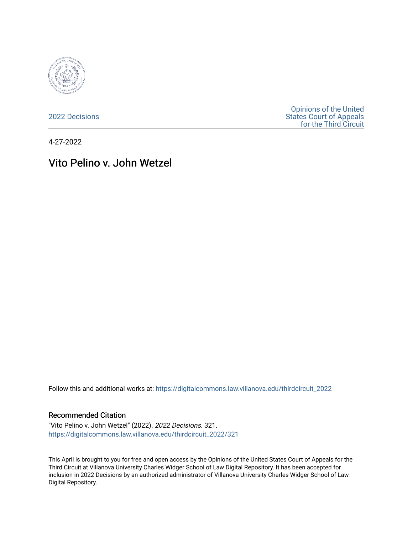

[2022 Decisions](https://digitalcommons.law.villanova.edu/thirdcircuit_2022)

[Opinions of the United](https://digitalcommons.law.villanova.edu/thirdcircuit)  [States Court of Appeals](https://digitalcommons.law.villanova.edu/thirdcircuit)  [for the Third Circuit](https://digitalcommons.law.villanova.edu/thirdcircuit) 

4-27-2022

# Vito Pelino v. John Wetzel

Follow this and additional works at: [https://digitalcommons.law.villanova.edu/thirdcircuit\\_2022](https://digitalcommons.law.villanova.edu/thirdcircuit_2022?utm_source=digitalcommons.law.villanova.edu%2Fthirdcircuit_2022%2F321&utm_medium=PDF&utm_campaign=PDFCoverPages) 

#### Recommended Citation

"Vito Pelino v. John Wetzel" (2022). 2022 Decisions. 321. [https://digitalcommons.law.villanova.edu/thirdcircuit\\_2022/321](https://digitalcommons.law.villanova.edu/thirdcircuit_2022/321?utm_source=digitalcommons.law.villanova.edu%2Fthirdcircuit_2022%2F321&utm_medium=PDF&utm_campaign=PDFCoverPages)

This April is brought to you for free and open access by the Opinions of the United States Court of Appeals for the Third Circuit at Villanova University Charles Widger School of Law Digital Repository. It has been accepted for inclusion in 2022 Decisions by an authorized administrator of Villanova University Charles Widger School of Law Digital Repository.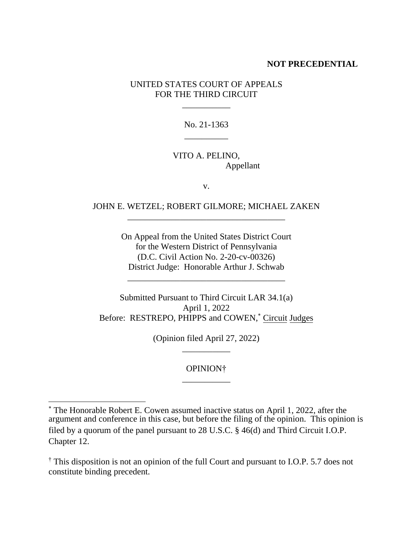#### **NOT PRECEDENTIAL**

## UNITED STATES COURT OF APPEALS FOR THE THIRD CIRCUIT

\_\_\_\_\_\_\_\_\_\_\_

No. 21-1363 \_\_\_\_\_\_\_\_\_\_

## VITO A. PELINO, Appellant

v.

## JOHN E. WETZEL; ROBERT GILMORE; MICHAEL ZAKEN \_\_\_\_\_\_\_\_\_\_\_\_\_\_\_\_\_\_\_\_\_\_\_\_\_\_\_\_\_\_\_\_\_\_\_\_

On Appeal from the United States District Court for the Western District of Pennsylvania (D.C. Civil Action No. 2-20-cv-00326) District Judge: Honorable Arthur J. Schwab

\_\_\_\_\_\_\_\_\_\_\_\_\_\_\_\_\_\_\_\_\_\_\_\_\_\_\_\_\_\_\_\_\_\_\_\_

Submitted Pursuant to Third Circuit LAR 34.1(a) April 1, 2022 Before: RESTREPO, PHIPPS and COWEN,\* Circuit Judges

> (Opinion filed April 27, 2022) \_\_\_\_\_\_\_\_\_\_\_

> > OPINION† \_\_\_\_\_\_\_\_\_\_\_

<sup>\*</sup> The Honorable Robert E. Cowen assumed inactive status on April 1, 2022, after the argument and conference in this case, but before the filing of the opinion. This opinion is filed by a quorum of the panel pursuant to 28 U.S.C. § 46(d) and Third Circuit I.O.P. Chapter 12.

<sup>†</sup> This disposition is not an opinion of the full Court and pursuant to I.O.P. 5.7 does not constitute binding precedent.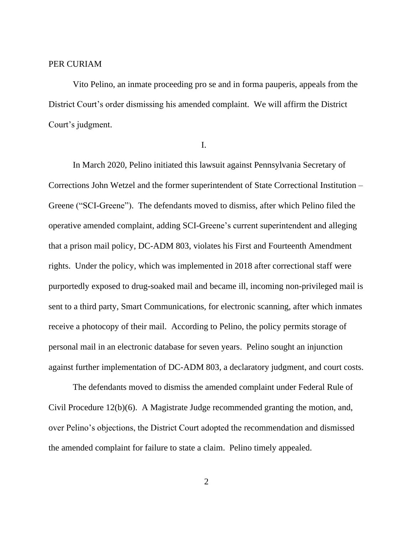#### PER CURIAM

Vito Pelino, an inmate proceeding pro se and in forma pauperis, appeals from the District Court's order dismissing his amended complaint. We will affirm the District Court's judgment.

I.

In March 2020, Pelino initiated this lawsuit against Pennsylvania Secretary of Corrections John Wetzel and the former superintendent of State Correctional Institution – Greene ("SCI-Greene"). The defendants moved to dismiss, after which Pelino filed the operative amended complaint, adding SCI-Greene's current superintendent and alleging that a prison mail policy, DC-ADM 803, violates his First and Fourteenth Amendment rights. Under the policy, which was implemented in 2018 after correctional staff were purportedly exposed to drug-soaked mail and became ill, incoming non-privileged mail is sent to a third party, Smart Communications, for electronic scanning, after which inmates receive a photocopy of their mail. According to Pelino, the policy permits storage of personal mail in an electronic database for seven years. Pelino sought an injunction against further implementation of DC-ADM 803, a declaratory judgment, and court costs.

The defendants moved to dismiss the amended complaint under Federal Rule of Civil Procedure 12(b)(6). A Magistrate Judge recommended granting the motion, and, over Pelino's objections, the District Court adopted the recommendation and dismissed the amended complaint for failure to state a claim. Pelino timely appealed.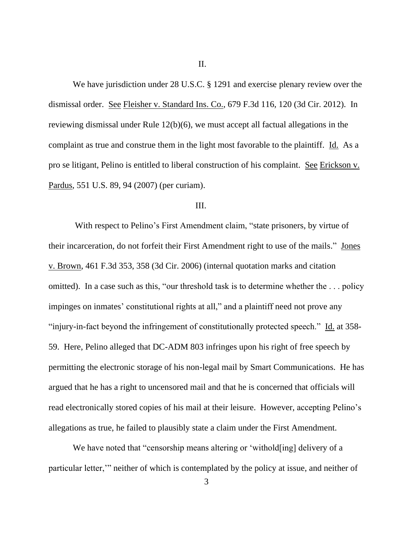II.

We have jurisdiction under 28 U.S.C. § 1291 and exercise plenary review over the dismissal order. See Fleisher v. Standard Ins. Co., 679 F.3d 116, 120 (3d Cir. 2012). In reviewing dismissal under Rule 12(b)(6), we must accept all factual allegations in the complaint as true and construe them in the light most favorable to the plaintiff. Id. As a pro se litigant, Pelino is entitled to liberal construction of his complaint. See Erickson v. Pardus, 551 U.S. 89, 94 (2007) (per curiam).

## III.

With respect to Pelino's First Amendment claim, "state prisoners, by virtue of their incarceration, do not forfeit their First Amendment right to use of the mails." Jones v. Brown, 461 F.3d 353, 358 (3d Cir. 2006) (internal quotation marks and citation omitted). In a case such as this, "our threshold task is to determine whether the . . . policy impinges on inmates' constitutional rights at all," and a plaintiff need not prove any "injury-in-fact beyond the infringement of constitutionally protected speech." Id. at 358- 59. Here, Pelino alleged that DC-ADM 803 infringes upon his right of free speech by permitting the electronic storage of his non-legal mail by Smart Communications. He has argued that he has a right to uncensored mail and that he is concerned that officials will read electronically stored copies of his mail at their leisure. However, accepting Pelino's allegations as true, he failed to plausibly state a claim under the First Amendment.

We have noted that "censorship means altering or 'withold[ing] delivery of a particular letter,'" neither of which is contemplated by the policy at issue, and neither of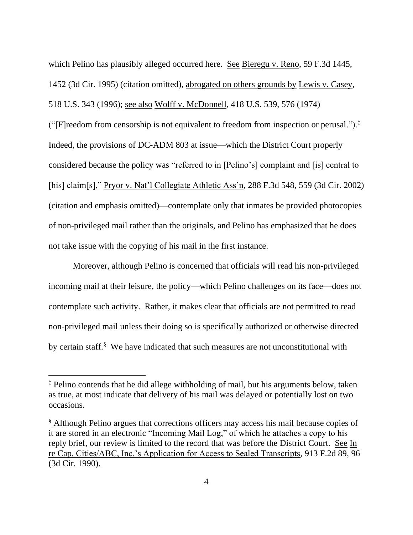which Pelino has plausibly alleged occurred here. See Bieregu v. Reno, 59 F.3d 1445, 1452 (3d Cir. 1995) (citation omitted), abrogated on others grounds by Lewis v. Casey, 518 U.S. 343 (1996); see also Wolff v. McDonnell, 418 U.S. 539, 576 (1974) ("[F]reedom from censorship is not equivalent to freedom from inspection or perusal.").<sup>‡</sup>

Indeed, the provisions of DC-ADM 803 at issue—which the District Court properly considered because the policy was "referred to in [Pelino's] complaint and [is] central to [his] claim[s]," Pryor v. Nat'l Collegiate Athletic Ass'n, 288 F.3d 548, 559 (3d Cir. 2002) (citation and emphasis omitted)—contemplate only that inmates be provided photocopies of non-privileged mail rather than the originals, and Pelino has emphasized that he does not take issue with the copying of his mail in the first instance.

Moreover, although Pelino is concerned that officials will read his non-privileged incoming mail at their leisure, the policy—which Pelino challenges on its face—does not contemplate such activity. Rather, it makes clear that officials are not permitted to read non-privileged mail unless their doing so is specifically authorized or otherwise directed by certain staff.<sup>§</sup> We have indicated that such measures are not unconstitutional with

<sup>‡</sup> Pelino contends that he did allege withholding of mail, but his arguments below, taken as true, at most indicate that delivery of his mail was delayed or potentially lost on two occasions.

<sup>§</sup> Although Pelino argues that corrections officers may access his mail because copies of it are stored in an electronic "Incoming Mail Log," of which he attaches a copy to his reply brief, our review is limited to the record that was before the District Court. See In re Cap. Cities/ABC, Inc.'s Application for Access to Sealed Transcripts, 913 F.2d 89, 96 (3d Cir. 1990).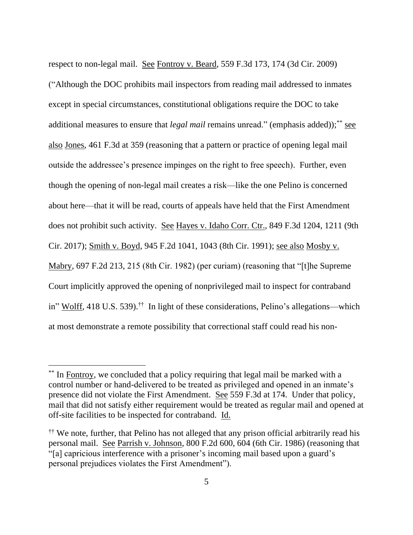respect to non-legal mail. See Fontroy v. Beard, 559 F.3d 173, 174 (3d Cir. 2009) ("Although the DOC prohibits mail inspectors from reading mail addressed to inmates except in special circumstances, constitutional obligations require the DOC to take additional measures to ensure that *legal mail* remains unread." (emphasis added));<sup>\*\*</sup> see also Jones, 461 F.3d at 359 (reasoning that a pattern or practice of opening legal mail outside the addressee's presence impinges on the right to free speech). Further, even though the opening of non-legal mail creates a risk—like the one Pelino is concerned about here—that it will be read, courts of appeals have held that the First Amendment does not prohibit such activity. See Hayes v. Idaho Corr. Ctr., 849 F.3d 1204, 1211 (9th Cir. 2017); Smith v. Boyd, 945 F.2d 1041, 1043 (8th Cir. 1991); see also Mosby v. Mabry, 697 F.2d 213, 215 (8th Cir. 1982) (per curiam) (reasoning that "[t]he Supreme Court implicitly approved the opening of nonprivileged mail to inspect for contraband in" Wolff, 418 U.S. 539).<sup>††</sup> In light of these considerations, Pelino's allegations—which at most demonstrate a remote possibility that correctional staff could read his non-

<sup>\*\*</sup> In Fontroy, we concluded that a policy requiring that legal mail be marked with a control number or hand-delivered to be treated as privileged and opened in an inmate's presence did not violate the First Amendment. See 559 F.3d at 174. Under that policy, mail that did not satisfy either requirement would be treated as regular mail and opened at off-site facilities to be inspected for contraband. Id.

<sup>&</sup>lt;sup>††</sup> We note, further, that Pelino has not alleged that any prison official arbitrarily read his personal mail. See Parrish v. Johnson, 800 F.2d 600, 604 (6th Cir. 1986) (reasoning that "[a] capricious interference with a prisoner's incoming mail based upon a guard's personal prejudices violates the First Amendment").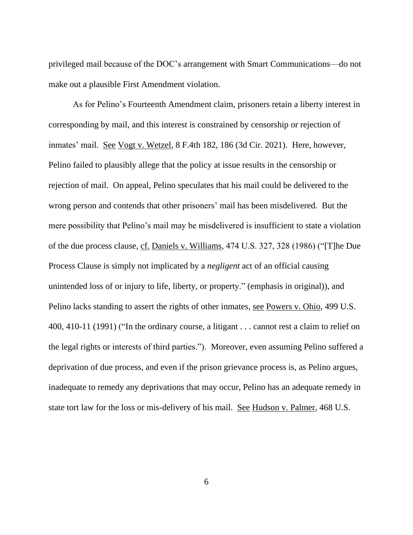privileged mail because of the DOC's arrangement with Smart Communications—do not make out a plausible First Amendment violation.

As for Pelino's Fourteenth Amendment claim, prisoners retain a liberty interest in corresponding by mail, and this interest is constrained by censorship or rejection of inmates' mail. See Vogt v. Wetzel, 8 F.4th 182, 186 (3d Cir. 2021). Here, however, Pelino failed to plausibly allege that the policy at issue results in the censorship or rejection of mail. On appeal, Pelino speculates that his mail could be delivered to the wrong person and contends that other prisoners' mail has been misdelivered. But the mere possibility that Pelino's mail may be misdelivered is insufficient to state a violation of the due process clause, cf. Daniels v. Williams, 474 U.S. 327, 328 (1986) ("[T]he Due Process Clause is simply not implicated by a *negligent* act of an official causing unintended loss of or injury to life, liberty, or property." (emphasis in original)), and Pelino lacks standing to assert the rights of other inmates, see Powers v. Ohio, 499 U.S. 400, 410-11 (1991) ("In the ordinary course, a litigant . . . cannot rest a claim to relief on the legal rights or interests of third parties."). Moreover, even assuming Pelino suffered a deprivation of due process, and even if the prison grievance process is, as Pelino argues, inadequate to remedy any deprivations that may occur, Pelino has an adequate remedy in state tort law for the loss or mis-delivery of his mail. See Hudson v. Palmer, 468 U.S.